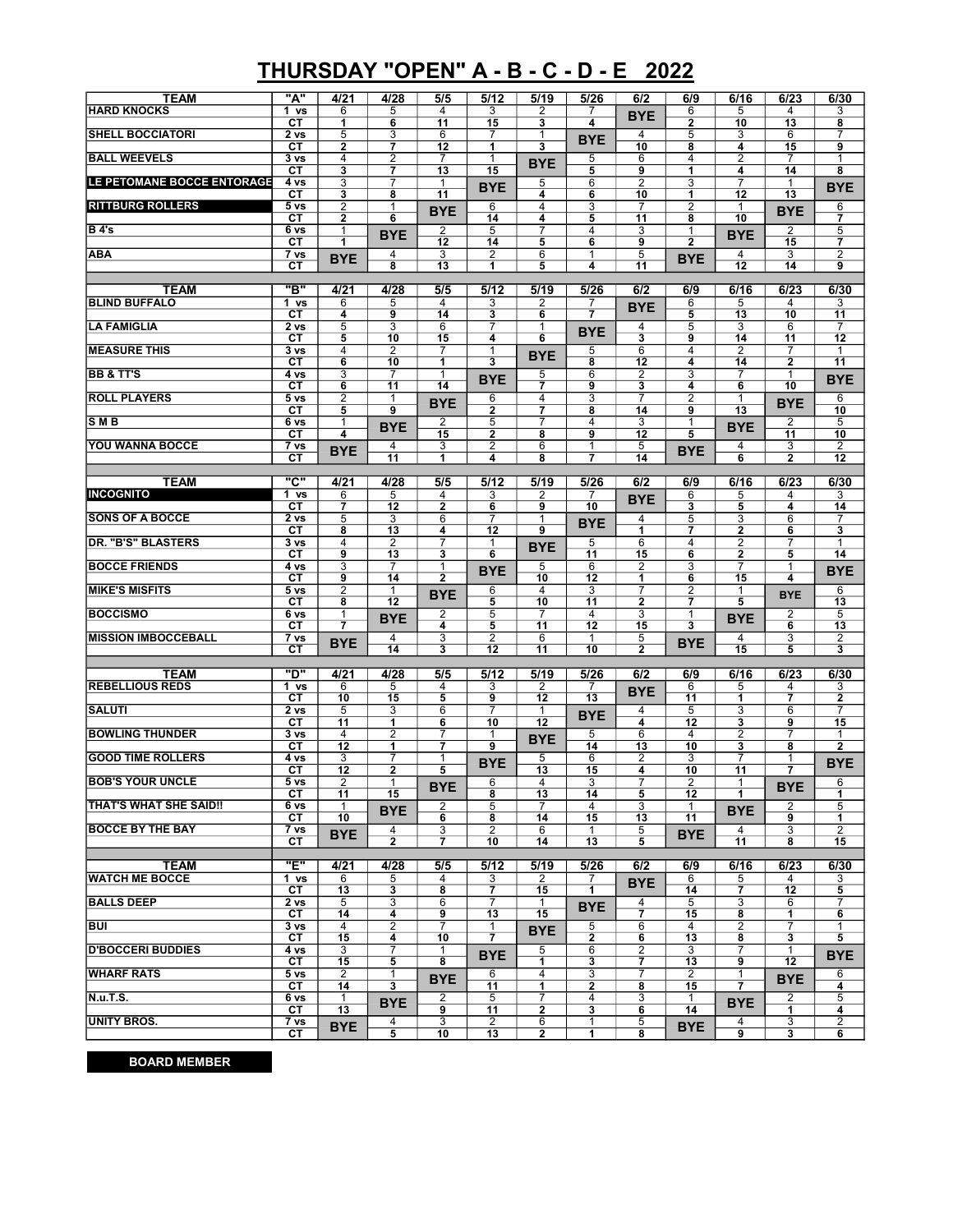## THURSDAY "OPEN" A - B - C - D - E 2022

| <b>TEAM</b>                          | "A"                                               | 4/21                             | 4/28                             | 5/5                     | 5/12                             | 5/19                 | 5/26                 | 6/2                  | 6/9                                     | 6/16                              | 6/23                           | 6/30                                    |
|--------------------------------------|---------------------------------------------------|----------------------------------|----------------------------------|-------------------------|----------------------------------|----------------------|----------------------|----------------------|-----------------------------------------|-----------------------------------|--------------------------------|-----------------------------------------|
| <b>HARD KNOCKS</b>                   | 1 <sub>vs</sub><br>СT                             | 6<br>1                           | 5<br>6                           | 4<br>11                 | 3<br>15                          | 2<br>3               | 4                    | <b>BYE</b>           | 6<br>2                                  | 5<br>10                           | 4<br>13                        | 3<br>8                                  |
| <b>SHELL BOCCIATORI</b>              | 2 vs                                              | 5                                | 3                                | 6                       | 7                                | 1                    | <b>BYE</b>           | 4                    | 5                                       | 3                                 | 6                              |                                         |
| <b>BALL WEEVELS</b>                  | СT<br>3 vs                                        | $\mathbf{2}$<br>4                | $\overline{7}$<br>$\overline{2}$ | 12<br>$\overline{7}$    | 1<br>$\mathbf{1}$                | 3                    | 5                    | 10<br>6              | 8<br>4                                  | 4<br>$\overline{2}$               | 15<br>$\overline{7}$           | 9<br>1                                  |
|                                      | СT                                                | 3                                | 7                                | 13                      | 15                               | <b>BYE</b>           | 5                    | 9                    | 1                                       | 4                                 | 14                             | 8                                       |
| LE PETOMANE BOCCE ENTORAGE           | $4 \text{ vs }$<br>$\overline{\text{c} \text{T}}$ | 3<br>3                           | $\overline{7}$<br>8              | 1<br>$\overline{11}$    | <b>BYE</b>                       | 5<br>4               | 6<br>6               | 2<br>10              | $\overline{3}$<br>1                     | $\overline{7}$<br>$\overline{12}$ | 1<br>$\overline{13}$           | <b>BYE</b>                              |
| <b>RITTBURG ROLLERS</b>              | 5 <sub>vs</sub>                                   | $\overline{2}$                   | 1                                | <b>BYE</b>              | 6                                | 4                    | 3                    | 7                    | $\overline{2}$                          | $\mathbf{1}$                      | <b>BYE</b>                     | 6                                       |
| B 4's                                | СT<br>6 vs                                        | 2<br>1                           | 6                                | 2                       | $\overline{14}$<br>5             | 4<br>7               | 5<br>$\overline{4}$  | 11<br>3              | 8<br>1                                  | 10                                | 2                              | 7<br>5                                  |
|                                      | СT                                                | 1                                | <b>BYE</b>                       | 12                      | 14                               | 5                    | 6                    | 9                    | $\overline{\mathbf{2}}$                 | <b>BYE</b>                        | 15                             | 7                                       |
| <b>ABA</b>                           | $\overline{7}$ vs<br>СT                           | <b>BYE</b>                       | 4<br>$\overline{\mathbf{8}}$     | 3<br>13                 | 2<br>1                           | 6<br>5               | 1<br>4               | 5<br>11              | <b>BYE</b>                              | 4<br>12                           | 3<br>14                        | $\overline{c}$<br>9                     |
|                                      |                                                   |                                  |                                  |                         |                                  |                      |                      |                      |                                         |                                   |                                |                                         |
| <b>TEAM</b><br><b>BLIND BUFFALO</b>  | "в"<br>1 vs                                       | 4/21<br>6                        | 4/28<br>5                        | 5/5<br>4                | 5/12<br>3                        | 5/19<br>2            | 5/26<br>7            | 6/2                  | 6/9<br>6                                | 6/16<br>5                         | 6/23<br>4                      | 6/30<br>3                               |
|                                      | CТ                                                | 4                                | 9                                | 14                      | 3                                | 6                    | $\overline{7}$       | <b>BYE</b>           | 5                                       | 13                                | 10                             | 11                                      |
| <b>LA FAMIGLIA</b>                   | 2 vs<br>СT                                        | 5<br>5                           | $\overline{3}$<br>10             | 6<br>15                 | 7<br>4                           | 1<br>6               | <b>BYE</b>           | 4<br>3               | $\overline{5}$<br>9                     | 3<br>14                           | 6<br>11                        | $\overline{7}$<br>12                    |
| <b>MEASURE THIS</b>                  | 3 <sub>vs</sub>                                   | 4                                | $\overline{c}$                   | 7                       | 1                                | <b>BYE</b>           | 5                    | 6                    | 4                                       | $\overline{2}$                    | 7                              | $\mathbf{1}$                            |
| <b>BB &amp; TT'S</b>                 | СT<br>4 vs                                        | 6<br>3                           | 10<br>7                          | 1<br>$\mathbf{1}$       | $\overline{\mathbf{3}}$          | 5                    | 8<br>6               | 12<br>2              | 4<br>3                                  | 14<br>$\overline{7}$              | $\overline{2}$<br>$\mathbf{1}$ | $\overline{11}$                         |
|                                      | СT                                                | 6                                | 11                               | 14                      | <b>BYE</b>                       | 7                    | 9                    | 3                    | 4                                       | 6                                 | 10                             | <b>BYE</b>                              |
| <b>ROLL PLAYERS</b>                  | 5 vs<br>СT                                        | $\overline{2}$<br>5              | $\mathbf{1}$<br>9                | <b>BYE</b>              | 6<br>$\mathbf 2$                 | 4<br>7               | $\overline{3}$<br>8  | 7<br>14              | $\overline{2}$<br>9                     | 1<br>13                           | <b>BYE</b>                     | 6<br>10                                 |
| <b>SMB</b>                           | 6 vs                                              | 1                                | <b>BYE</b>                       | $\overline{2}$          | 5                                | $\overline{7}$       | $\overline{4}$       | 3                    | 1                                       | <b>BYE</b>                        | 2                              | 5                                       |
| <b>YOU WANNA BOCCE</b>               | СT<br>7 vs                                        | 4                                | 4                                | 15<br>3                 | $\mathbf{2}$<br>$\overline{2}$   | 8<br>6               | 9<br>1               | 12<br>$\overline{5}$ | 5                                       | 4                                 | 11<br>$\overline{3}$           | 10<br>$\overline{2}$                    |
|                                      | СT                                                | <b>BYE</b>                       | $\overline{11}$                  | 1                       | 4                                | 8                    | 7                    | 14                   | <b>BYE</b>                              | 6                                 | $\overline{2}$                 | $\overline{12}$                         |
| <b>TEAM</b>                          | "C"                                               | 4/21                             | 4/28                             | 5/5                     | 5/12                             | 5/19                 | 5/26                 | 6/2                  | 6/9                                     | 6/16                              | 6/23                           | 6/30                                    |
| <b>INCOGNITO</b>                     | 1 vs                                              | 6                                | 5                                | 4                       | 3                                | 2                    | 7                    | <b>BYE</b>           | 6                                       | 5                                 | 4                              | 3                                       |
| <b>SONS OF A BOCCE</b>               | СT<br>2 <sub>vs</sub>                             | $\overline{7}$<br>$\overline{5}$ | 12<br>3                          | $\mathbf{2}$<br>6       | 6<br>7                           | 9<br>1               | 10                   | 4                    | $\overline{\mathbf{3}}$<br>5            | 5<br>$\overline{3}$               | 4<br>$\overline{6}$            | 14<br>7                                 |
|                                      | СT                                                | 8                                | 13                               | 4                       | $\overline{12}$                  | 9                    | <b>BYE</b>           | $\overline{1}$       | $\overline{7}$                          | $\overline{2}$                    | 6                              | 3                                       |
| <b>DR. "B'S" BLASTERS</b>            | 3 vs<br>СT                                        | 4<br>9                           | $\overline{2}$<br>13             | 7<br>3                  | $\mathbf{1}$<br>6                | <b>BYE</b>           | 5<br>$\overline{11}$ | 6<br>15              | 4<br>6                                  | $\overline{2}$<br>2               | $\overline{7}$<br>5            | $\mathbf{1}$<br>14                      |
| <b>BOCCE FRIENDS</b>                 | 4 vs                                              | 3                                | $\overline{7}$                   | $\mathbf{1}$            | <b>BYE</b>                       | 5                    | 6                    | 2                    | 3                                       | 7                                 | $\mathbf{1}$                   | <b>BYE</b>                              |
| <b>MIKE'S MISFITS</b>                | СT<br>5 vs                                        | 9<br>$\overline{2}$              | 14                               | $\overline{\mathbf{2}}$ |                                  | 10<br>4              | 12                   | 1<br>7               | 6                                       | 15                                | 4                              |                                         |
|                                      | СT                                                | 8                                | 1<br>12                          | <b>BYE</b>              | 6<br>5                           | 10                   | 3<br>11              | $\mathbf{2}$         | 2<br>7                                  | 1<br>5                            | <b>BYE</b>                     | 6<br>13                                 |
| <b>BOCCISMO</b>                      | 6 vs<br>СT                                        | $\mathbf{1}$<br>7                | <b>BYE</b>                       | 2<br>4                  | $\overline{5}$<br>$\overline{5}$ | $\overline{7}$<br>11 | $\overline{4}$<br>12 | $\overline{3}$<br>15 | $\mathbf{1}$<br>$\overline{\mathbf{3}}$ | <b>BYE</b>                        | $\overline{2}$<br>6            | $\overline{5}$<br>13                    |
| <b>MISSION IMBOCCEBALL</b>           | 7 vs                                              | <b>BYE</b>                       | 4                                | 3                       | $\overline{2}$                   | 6                    | 1                    | 5                    | <b>BYE</b>                              | 4                                 | 3                              | 2                                       |
|                                      | СT                                                |                                  | 14                               | 3                       | 12                               | $\overline{11}$      | 10                   | $\mathbf{2}$         |                                         | 15                                | $\overline{5}$                 | 3                                       |
| <b>TEAM</b>                          | "ס                                                | 4/21                             | 4/28                             | 5/5                     | 5/12                             | 5/19                 | 5/26                 | 6/2                  | 6/9                                     | 6/16                              | 6/23                           | 6/30                                    |
| <b>REBELLIOUS REDS</b>               | 1 vs<br>CТ                                        | 6<br>10                          | 5<br>$\overline{15}$             | 4<br>$\overline{5}$     | 3<br>9                           | 2<br>$\overline{12}$ | 7<br>13              | <b>BYE</b>           | 6<br>11                                 | 5<br>1                            | 4<br>7                         | 3<br>$\overline{2}$                     |
| <b>SALUTI</b>                        | 2 vs                                              | 5                                | 3                                | 6                       | $\overline{7}$                   | $\mathbf{1}$         | <b>BYE</b>           | 4                    | 5                                       | 3                                 | 6                              | $\overline{7}$                          |
| <b>BOWLING THUNDER</b>               | CТ                                                | 11<br>$\overline{4}$             | 1<br>$\overline{2}$              | 6<br>7                  | 10                               | 12                   |                      | 4<br>6               | 12<br>4                                 | 3                                 | 9<br>$\overline{7}$            | 15                                      |
|                                      | 3 vs<br>СT                                        | 12                               | 1                                | 7                       | 1<br>9                           | <b>BYE</b>           | 5<br>14              | 13                   | 10                                      | $\overline{2}$<br>3               | 8                              | $\mathbf{1}$<br>$\overline{\mathbf{2}}$ |
| <b>GOOD TIME ROLLERS</b>             | 4 vs<br>СT                                        | 3<br>12                          | 7<br>2                           | 1<br>5                  | <b>BYE</b>                       | 5<br>13              | 6<br>15              | 2<br>4               | 3<br>10                                 | 7<br>11                           | 1<br>7                         | <b>BYE</b>                              |
| <b>BOB'S YOUR UNCLE</b>              | 5 vs                                              | 2                                | 1                                | <b>BYE</b>              | 6                                | 4                    | $\overline{3}$       | 7                    | $\overline{2}$                          | 1                                 | <b>BYE</b>                     | 6                                       |
| <b>THAT'S WHAT SHE SAID!!</b>        | СT<br>6 vs                                        | 11<br>1                          | 15                               | 2                       | 8<br>$\overline{5}$              | 13                   | 14<br>4              | 5<br>3               | 12<br>1                                 | 1                                 | 2                              | 1<br>5                                  |
|                                      | CТ                                                | 10                               | <b>BYE</b>                       | 6                       | 8                                | 14                   | 15                   | 13                   | 11                                      | <b>BYE</b>                        | 9                              | 1                                       |
| <b>BOCCE BY THE BAY</b>              | 7 vs<br>CТ                                        | <b>BYE</b>                       | 4<br>$\mathbf{2}$                | 3<br>7                  | $\overline{2}$<br>10             | 6<br>14              | 1<br>13              | 5<br>5               | <b>BYE</b>                              | 4<br>11                           | 3<br>8                         | $\overline{2}$<br>15                    |
|                                      |                                                   |                                  |                                  |                         |                                  |                      |                      |                      |                                         |                                   |                                |                                         |
| <b>TEAM</b><br><b>WATCH ME BOCCE</b> | "E"<br>1 vs                                       | 4/21                             | 4/28                             | 5/5<br>4                | 5/12<br>3                        | 5/19<br>2            | 5/26                 | 6/2                  | 6/9                                     | 6/16<br>5                         | 6/23<br>4                      | 6/30                                    |
|                                      | CТ                                                | 6<br>13                          | 5<br>3                           | 8                       | 7                                | 15                   | 7<br>1               | <b>BYE</b>           | 6<br>14                                 | 7                                 | 12                             | 3<br>5                                  |
| <b>BALLS DEEP</b>                    | 2 vs                                              | 5                                | 3                                | 6                       | $\overline{7}$                   | $\mathbf{1}$         | <b>BYE</b>           | 4                    | 5                                       | 3                                 | 6                              | 7                                       |
| <b>BUI</b>                           | CТ<br>3 vs                                        | 14<br>4                          | 4<br>$\overline{\mathbf{c}}$     | 9<br>$\overline{7}$     | 13<br>1                          | 15<br><b>BYE</b>     | 5                    | 7<br>6               | 15<br>4                                 | 8<br>$\overline{a}$               | 1<br>7                         | 6<br>$\mathbf{1}$                       |
|                                      | CТ                                                | 15                               | 4                                | 10                      | $\overline{7}$                   |                      | $\mathbf{2}$         | 6                    | 13                                      | 8                                 | 3                              | 5                                       |
| <b>D'BOCCERI BUDDIES</b>             | 4 vs<br>СT                                        | 3<br>15                          | $\overline{7}$<br>5              | 1<br>8                  | <b>BYE</b>                       | 5<br>1.              | 6<br>3               | $\overline{2}$<br>7  | 3<br>13                                 | $\overline{7}$<br>9               | $\mathbf{1}$<br>12             | <b>BYE</b>                              |
| <b>WHARF RATS</b>                    | 5 vs                                              | 2                                | 1                                | <b>BYE</b>              | 6                                | 4                    | 3                    | 7                    | 2                                       | 1                                 | <b>BYE</b>                     | 6                                       |
| N.u.T.S.                             | CТ<br>6 vs                                        | 14<br>1                          | 3                                | 2                       | 11<br>5                          | 1                    | 2<br>4               | 8<br>3               | 15<br>1                                 | 7                                 | 2                              | 4<br>5                                  |
|                                      | CТ                                                | 13                               | <b>BYE</b>                       | 9                       | 11                               | 2                    | 3                    | 6                    | 14                                      | <b>BYE</b>                        | 1                              | 4                                       |
| UNITY BROS.                          | 7 vs<br>CТ                                        | <b>BYE</b>                       | 4<br>5                           | 3<br>10                 | 2<br>13                          | 6<br>$\mathbf{2}$    | 1<br>1               | 5<br>8               | <b>BYE</b>                              | 4<br>9                            | 3<br>3                         | 2<br>6                                  |

BOARD MEMBER